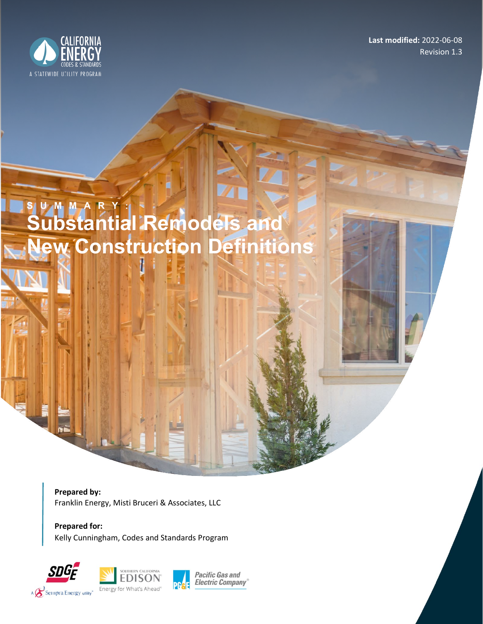

**Last modified:** 2022-06-08 Revision 1.3

# **SUMMARY : Substantial Remodels and New Construction Definitions**

**Prepared by:** Franklin Energy, Misti Bruceri & Associates, LLC

**Prepared for:** Kelly Cunningham, Codes and Standards Program





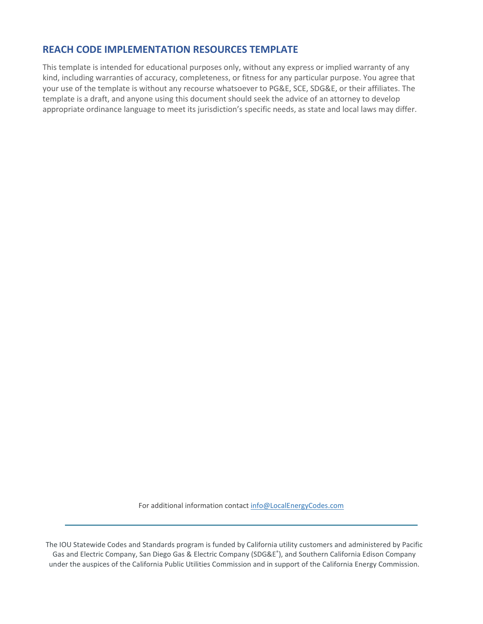#### **REACH CODE IMPLEMENTATION RESOURCES TEMPLATE**

This template is intended for educational purposes only, without any express or implied warranty of any kind, including warranties of accuracy, completeness, or fitness for any particular purpose. You agree that your use of the template is without any recourse whatsoever to PG&E, SCE, SDG&E, or their affiliates. The template is a draft, and anyone using this document should seek the advice of an attorney to develop appropriate ordinance language to meet its jurisdiction's specific needs, as state and local laws may differ.

For additional information contact [info@LocalEnergyCodes.com](mailto:info@LocalEnergyCodes.com)

The IOU Statewide Codes and Standards program is funded by California utility customers and administered by Pacific Gas and Electric Company, San Diego Gas & Electric Company (SDG&E® ), and Southern California Edison Company under the auspices of the California Public Utilities Commission and in support of the California Energy Commission.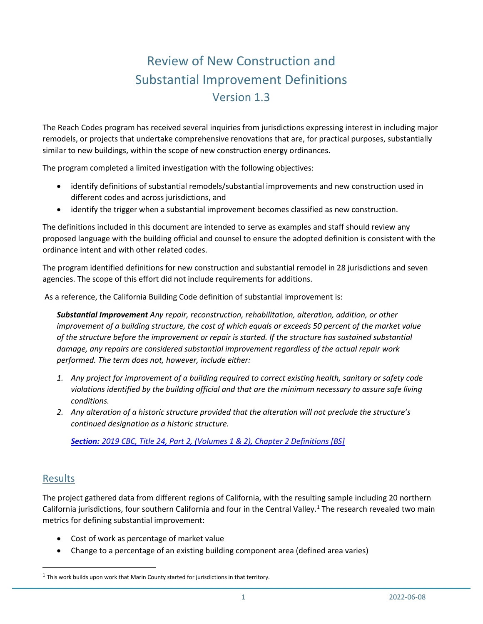## Review of New Construction and Substantial Improvement Definitions Version 1.3

The Reach Codes program has received several inquiries from jurisdictions expressing interest in including major remodels, or projects that undertake comprehensive renovations that are, for practical purposes, substantially similar to new buildings, within the scope of new construction energy ordinances.

The program completed a limited investigation with the following objectives:

- identify definitions of substantial remodels/substantial improvements and new construction used in different codes and across jurisdictions, and
- identify the trigger when a substantial improvement becomes classified as new construction.

The definitions included in this document are intended to serve as examples and staff should review any proposed language with the building official and counsel to ensure the adopted definition is consistent with the ordinance intent and with other related codes.

The program identified definitions for new construction and substantial remodel in 28 jurisdictions and seven agencies. The scope of this effort did not include requirements for additions.

As a reference, the California Building Code definition of substantial improvement is:

*Substantial Improvement Any repair, reconstruction, rehabilitation, alteration, addition, or other improvement of a building structure, the cost of which equals or exceeds 50 percent of the market value of the structure before the improvement or repair is started. If the structure has sustained substantial damage, any repairs are considered substantial improvement regardless of the actual repair work performed. The term does not, however, include either:* 

- *1. Any project for improvement of a building required to correct existing health, sanitary or safety code violations identified by the building official and that are the minimum necessary to assure safe living conditions.*
- *2. Any alteration of a historic structure provided that the alteration will not preclude the structure's continued designation as a historic structure.*

*Section: [2019 CBC, Title 24, Part 2, \(Volumes 1 & 2\), Chapter 2 Definitions \[BS\]](https://up.codes/viewer/california/ca-building-code-2016/chapter/2/definitions#2)* 

#### Results

The project gathered data from different regions of California, with the resulting sample including 20 northern California jurisdictions, four southern California and four in the Central Valley.<sup>[1](#page-2-0)</sup> The research revealed two main metrics for defining substantial improvement:

- Cost of work as percentage of market value
- Change to a percentage of an existing building component area (defined area varies)

<span id="page-2-0"></span> $1$  This work builds upon work that Marin County started for jurisdictions in that territory.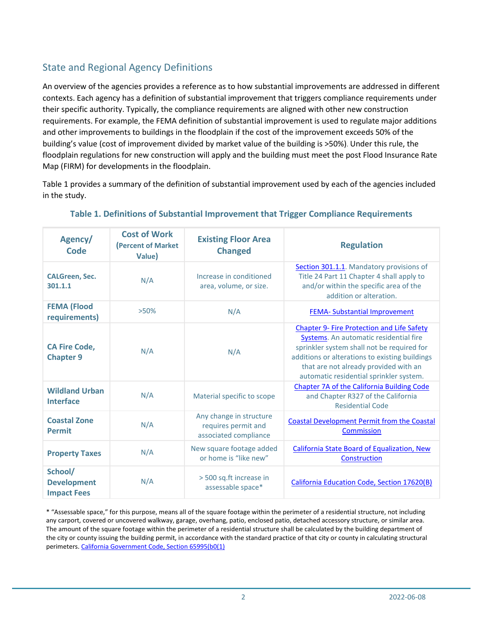## State and Regional Agency Definitions

An overview of the agencies provides a reference as to how substantial improvements are addressed in different contexts. Each agency has a definition of substantial improvement that triggers compliance requirements under their specific authority. Typically, the compliance requirements are aligned with other new construction requirements. For example, the FEMA definition of substantial improvement is used to regulate major additions and other improvements to buildings in the floodplain if the cost of the improvement exceeds 50% of the building's value (cost of improvement divided by market value of the building is >50%). Under this rule, the floodplain regulations for new construction will apply and the building must meet the post Flood Insurance Rate Map (FIRM) for developments in the floodplain.

Table 1 provides a summary of the definition of substantial improvement used by each of the agencies included in the study.

| Agency/<br>Code                                     | <b>Cost of Work</b><br><b>(Percent of Market</b><br>Value) | <b>Existing Floor Area</b><br><b>Changed</b>                            | <b>Regulation</b>                                                                                                                                                                                                                                                               |
|-----------------------------------------------------|------------------------------------------------------------|-------------------------------------------------------------------------|---------------------------------------------------------------------------------------------------------------------------------------------------------------------------------------------------------------------------------------------------------------------------------|
| <b>CALGreen, Sec.</b><br>301.1.1                    | N/A                                                        | Increase in conditioned<br>area, volume, or size.                       | Section 301.1.1. Mandatory provisions of<br>Title 24 Part 11 Chapter 4 shall apply to<br>and/or within the specific area of the<br>addition or alteration.                                                                                                                      |
| <b>FEMA (Flood</b><br>requirements)                 | >50%                                                       | N/A                                                                     | FEMA- Substantial Improvement                                                                                                                                                                                                                                                   |
| <b>CA Fire Code,</b><br><b>Chapter 9</b>            | N/A                                                        | N/A                                                                     | <b>Chapter 9- Fire Protection and Life Safety</b><br>Systems. An automatic residential fire<br>sprinkler system shall not be required for<br>additions or alterations to existing buildings<br>that are not already provided with an<br>automatic residential sprinkler system. |
| <b>Wildland Urban</b><br>Interface                  | N/A                                                        | Material specific to scope                                              | Chapter 7A of the California Building Code<br>and Chapter R327 of the California<br><b>Residential Code</b>                                                                                                                                                                     |
| <b>Coastal Zone</b><br><b>Permit</b>                | N/A                                                        | Any change in structure<br>requires permit and<br>associated compliance | <b>Coastal Development Permit from the Coastal</b><br><b>Commission</b>                                                                                                                                                                                                         |
| <b>Property Taxes</b>                               | N/A                                                        | New square footage added<br>or home is "like new"                       | <b>California State Board of Equalization, New</b><br>Construction                                                                                                                                                                                                              |
| School/<br><b>Development</b><br><b>Impact Fees</b> | N/A                                                        | > 500 sq.ft increase in<br>assessable space*                            | California Education Code, Section 17620(B)                                                                                                                                                                                                                                     |

#### **Table 1. Definitions of Substantial Improvement that Trigger Compliance Requirements**

\* "Assessable space," for this purpose, means all of the square footage within the perimeter of a residential structure, not including any carport, covered or uncovered walkway, garage, overhang, patio, enclosed patio, detached accessory structure, or similar area. The amount of the square footage within the perimeter of a residential structure shall be calculated by the building department of the city or county issuing the building permit, in accordance with the standard practice of that city or county in calculating structural perimeters. [California Government Code, Section 65995\(b0\(1\)](https://leginfo.legislature.ca.gov/faces/codes_displaySection.xhtml?lawCode=GOV§ionNum=65995.)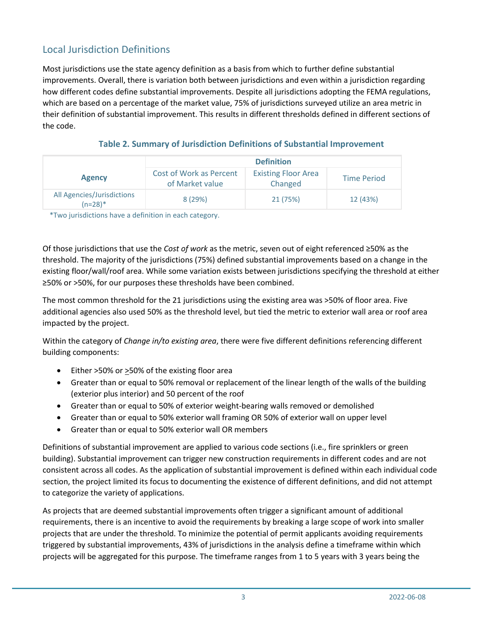### Local Jurisdiction Definitions

Most jurisdictions use the state agency definition as a basis from which to further define substantial improvements. Overall, there is variation both between jurisdictions and even within a jurisdiction regarding how different codes define substantial improvements. Despite all jurisdictions adopting the FEMA regulations, which are based on a percentage of the market value, 75% of jurisdictions surveyed utilize an area metric in their definition of substantial improvement. This results in different thresholds defined in different sections of the code.

|                                         | <b>Definition</b>                          |                                       |                    |
|-----------------------------------------|--------------------------------------------|---------------------------------------|--------------------|
| <b>Agency</b>                           | Cost of Work as Percent<br>of Market value | <b>Existing Floor Area</b><br>Changed | <b>Time Period</b> |
| All Agencies/Jurisdictions<br>$(n=28)*$ | 8(29%)                                     | 21 (75%)                              | 12 (43%)           |

#### **Table 2. Summary of Jurisdiction Definitions of Substantial Improvement**

\*Two jurisdictions have a definition in each category.

Of those jurisdictions that use the *Cost of work* as the metric, seven out of eight referenced ≥50% as the threshold. The majority of the jurisdictions (75%) defined substantial improvements based on a change in the existing floor/wall/roof area. While some variation exists between jurisdictions specifying the threshold at either ≥50% or >50%, for our purposes these thresholds have been combined.

The most common threshold for the 21 jurisdictions using the existing area was >50% of floor area. Five additional agencies also used 50% as the threshold level, but tied the metric to exterior wall area or roof area impacted by the project.

Within the category of *Change in/to existing area*, there were five different definitions referencing different building components:

- Either > 50% or  $\geq$  50% of the existing floor area
- Greater than or equal to 50% removal or replacement of the linear length of the walls of the building (exterior plus interior) and 50 percent of the roof
- Greater than or equal to 50% of exterior weight-bearing walls removed or demolished
- Greater than or equal to 50% exterior wall framing OR 50% of exterior wall on upper level
- Greater than or equal to 50% exterior wall OR members

Definitions of substantial improvement are applied to various code sections (i.e., fire sprinklers or green building). Substantial improvement can trigger new construction requirements in different codes and are not consistent across all codes. As the application of substantial improvement is defined within each individual code section, the project limited its focus to documenting the existence of different definitions, and did not attempt to categorize the variety of applications.

As projects that are deemed substantial improvements often trigger a significant amount of additional requirements, there is an incentive to avoid the requirements by breaking a large scope of work into smaller projects that are under the threshold. To minimize the potential of permit applicants avoiding requirements triggered by substantial improvements, 43% of jurisdictions in the analysis define a timeframe within which projects will be aggregated for this purpose. The timeframe ranges from 1 to 5 years with 3 years being the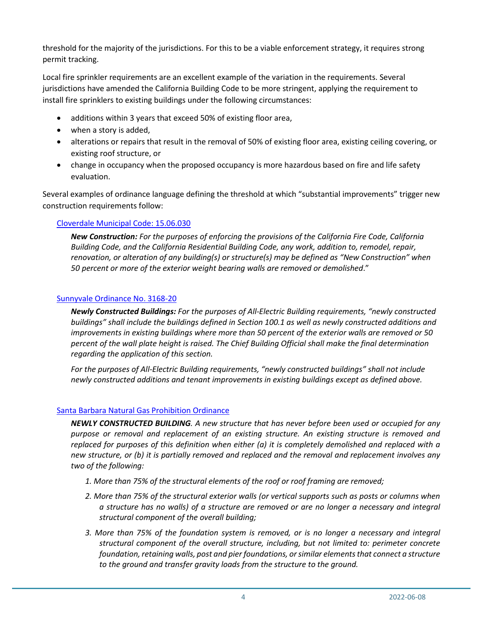threshold for the majority of the jurisdictions. For this to be a viable enforcement strategy, it requires strong permit tracking.

Local fire sprinkler requirements are an excellent example of the variation in the requirements. Several jurisdictions have amended the California Building Code to be more stringent, applying the requirement to install fire sprinklers to existing buildings under the following circumstances:

- additions within 3 years that exceed 50% of existing floor area,
- when a story is added,
- alterations or repairs that result in the removal of 50% of existing floor area, existing ceiling covering, or existing roof structure, or
- change in occupancy when the proposed occupancy is more hazardous based on fire and life safety evaluation.

Several examples of ordinance language defining the threshold at which "substantial improvements" trigger new construction requirements follow:

#### [Cloverdale Municipal Code: 15.06.030](https://www.codepublishing.com/CA/Cloverdale/#!/Cloverdale15/Cloverdale1506.html)

*New Construction: For the purposes of enforcing the provisions of the California Fire Code, California Building Code, and the California Residential Building Code, any work, addition to, remodel, repair, renovation, or alteration of any building(s) or structure(s) may be defined as "New Construction" when 50 percent or more of the exterior weight bearing walls are removed or demolished*."

#### [Sunnyvale Ordinance No. 3168-20](https://localenergycodes.com/download/672/local_government_adoption_ordinance/fieldList/Sunnyvale%202019%20-%20Ordinance%203168-20.pdf)

*Newly Constructed Buildings: For the purposes of All-Electric Building requirements, "newly constructed buildings" shall include the buildings defined in Section 100.1 as well as newly constructed additions and improvements in existing buildings where more than 50 percent of the exterior walls are removed or 50 percent of the wall plate height is raised. The Chief Building Official shall make the final determination regarding the application of this section.*

*For the purposes of All-Electric Building requirements, "newly constructed buildings" shall not include newly constructed additions and tenant improvements in existing buildings except as defined above.*

#### [Santa Barbara Natural Gas Prohibition Ordinance](https://localenergycodes.com/download/836/local_government_adoption_ordinance/fieldList/Santa%20Barbara%202019%20-%20Ordinance.pdf)

*NEWLY CONSTRUCTED BUILDING. A new structure that has never before been used or occupied for any purpose or removal and replacement of an existing structure. An existing structure is removed and replaced for purposes of this definition when either (a) it is completely demolished and replaced with a new structure, or (b) it is partially removed and replaced and the removal and replacement involves any two of the following:* 

- *1. More than 75% of the structural elements of the roof or roof framing are removed;*
- *2. More than 75% of the structural exterior walls (or vertical supports such as posts or columns when a structure has no walls) of a structure are removed or are no longer a necessary and integral structural component of the overall building;*
- *3. More than 75% of the foundation system is removed, or is no longer a necessary and integral structural component of the overall structure, including, but not limited to: perimeter concrete foundation, retaining walls, post and pier foundations, or similar elements that connect a structure to the ground and transfer gravity loads from the structure to the ground.*